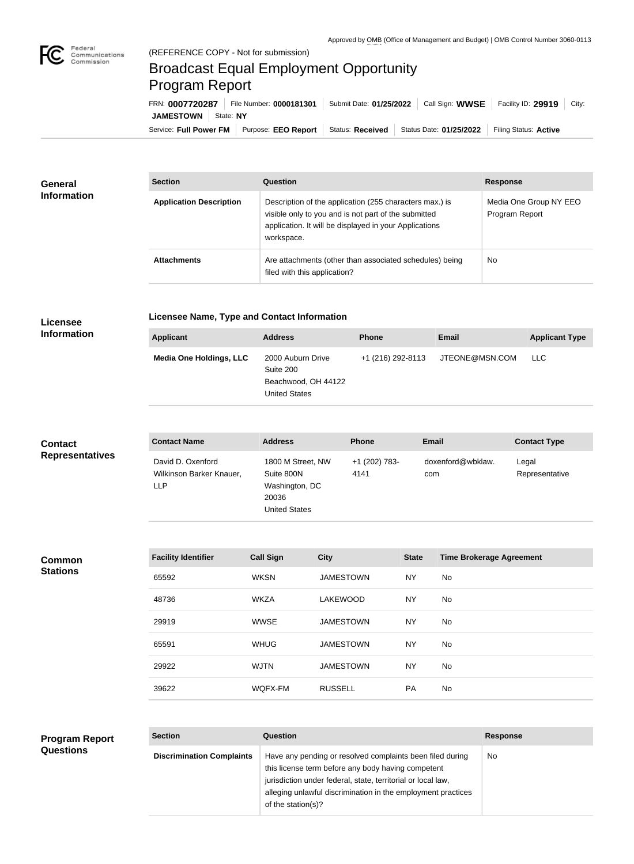

## Broadcast Equal Employment Opportunity Program Report

Service: Full Power FM Purpose: EEO Report | Status: Received | Status Date: 01/25/2022 | Filing Status: Active **JAMESTOWN** State: NY FRN: **0007720287** File Number: **0000181301** Submit Date: **01/25/2022** Call Sign: **WWSE** Facility ID: **29919** City:

| <b>General</b><br><b>Information</b> | <b>Section</b>                 | Question                                                                                                                                                                                | <b>Response</b>                          |  |
|--------------------------------------|--------------------------------|-----------------------------------------------------------------------------------------------------------------------------------------------------------------------------------------|------------------------------------------|--|
|                                      | <b>Application Description</b> | Description of the application (255 characters max.) is<br>visible only to you and is not part of the submitted<br>application. It will be displayed in your Applications<br>workspace. | Media One Group NY EEO<br>Program Report |  |
|                                      | <b>Attachments</b>             | Are attachments (other than associated schedules) being<br>filed with this application?                                                                                                 | <b>No</b>                                |  |

## **Licensee Information**

## **Licensee Name, Type and Contact Information**

| Applicant                      | <b>Address</b>                                                                | <b>Phone</b>      | <b>Email</b>   | <b>Applicant Type</b> |
|--------------------------------|-------------------------------------------------------------------------------|-------------------|----------------|-----------------------|
| <b>Media One Holdings, LLC</b> | 2000 Auburn Drive<br>Suite 200<br>Beachwood, OH 44122<br><b>United States</b> | +1 (216) 292-8113 | JTEONE@MSN.COM | <b>LLC</b>            |

| <b>Contact</b><br><b>Representatives</b> | <b>Contact Name</b>                                         | <b>Address</b>                                                                     |                  | Phone                 |              | <b>Email</b>                    | <b>Contact Type</b>     |
|------------------------------------------|-------------------------------------------------------------|------------------------------------------------------------------------------------|------------------|-----------------------|--------------|---------------------------------|-------------------------|
|                                          | David D. Oxenford<br>Wilkinson Barker Knauer,<br><b>LLP</b> | 1800 M Street, NW<br>Suite 800N<br>Washington, DC<br>20036<br><b>United States</b> |                  | +1 (202) 783-<br>4141 | com          | doxenford@wbklaw.               | Legal<br>Representative |
|                                          |                                                             |                                                                                    |                  |                       |              |                                 |                         |
| <b>Common</b>                            | <b>Facility Identifier</b>                                  | <b>Call Sign</b>                                                                   | <b>City</b>      |                       | <b>State</b> | <b>Time Brokerage Agreement</b> |                         |
| <b>Stations</b>                          | 65592                                                       | <b>WKSN</b>                                                                        | <b>JAMESTOWN</b> |                       | <b>NY</b>    | No                              |                         |
|                                          | 48736                                                       | <b>WKZA</b>                                                                        | LAKEWOOD         |                       | <b>NY</b>    | No                              |                         |
|                                          | 29919                                                       | <b>WWSE</b>                                                                        | <b>JAMESTOWN</b> |                       | <b>NY</b>    | No                              |                         |
|                                          | 65591                                                       | <b>WHUG</b>                                                                        | <b>JAMESTOWN</b> |                       | <b>NY</b>    | <b>No</b>                       |                         |
|                                          | 29922                                                       | <b>WJTN</b>                                                                        | <b>JAMESTOWN</b> |                       | <b>NY</b>    | No                              |                         |
|                                          | 39622                                                       | WQFX-FM                                                                            | <b>RUSSELL</b>   |                       | PA           | <b>No</b>                       |                         |
|                                          |                                                             |                                                                                    |                  |                       |              |                                 |                         |
| <b>Program Report</b>                    | <b>Section</b>                                              | Question                                                                           |                  |                       |              | <b>Response</b>                 |                         |

|  |                  | . |  |
|--|------------------|---|--|
|  | <b>Questions</b> |   |  |

| Section                          | Question                                                                                                                                                                                                                                                              | <b>Response</b> |
|----------------------------------|-----------------------------------------------------------------------------------------------------------------------------------------------------------------------------------------------------------------------------------------------------------------------|-----------------|
| <b>Discrimination Complaints</b> | Have any pending or resolved complaints been filed during<br>this license term before any body having competent<br>jurisdiction under federal, state, territorial or local law,<br>alleging unlawful discrimination in the employment practices<br>of the station(s)? | No              |